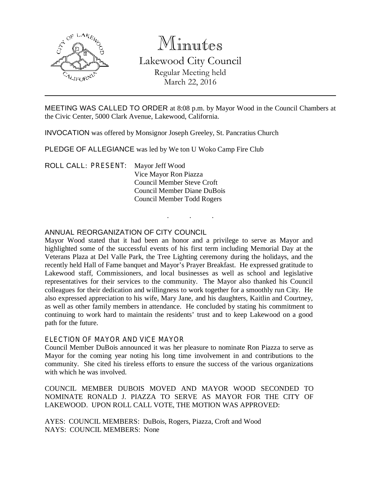

# Minutes

Lakewood City Council Regular Meeting held March 22, 2016

MEETING WAS CALLED TO ORDER at 8:08 p.m. by Mayor Wood in the Council Chambers at the Civic Center, 5000 Clark Avenue, Lakewood, California.

. . .

INVOCATION was offered by Monsignor Joseph Greeley, St. Pancratius Church

PLEDGE OF ALLEGIANCE was led by We ton U Woko Camp Fire Club

ROLL CALL: PRESENT: Mayor Jeff Wood Vice Mayor Ron Piazza Council Member Steve Croft Council Member Diane DuBois Council Member Todd Rogers

## ANNUAL REORGANIZATION OF CITY COUNCIL

Mayor Wood stated that it had been an honor and a privilege to serve as Mayor and highlighted some of the successful events of his first term including Memorial Day at the Veterans Plaza at Del Valle Park, the Tree Lighting ceremony during the holidays, and the recently held Hall of Fame banquet and Mayor's Prayer Breakfast. He expressed gratitude to Lakewood staff, Commissioners, and local businesses as well as school and legislative representatives for their services to the community. The Mayor also thanked his Council colleagues for their dedication and willingness to work together for a smoothly run City. He also expressed appreciation to his wife, Mary Jane, and his daughters, Kaitlin and Courtney, as well as other family members in attendance. He concluded by stating his commitment to continuing to work hard to maintain the residents' trust and to keep Lakewood on a good path for the future.

#### ELECTION OF MAYOR AND VICE MAYOR

Council Member DuBois announced it was her pleasure to nominate Ron Piazza to serve as Mayor for the coming year noting his long time involvement in and contributions to the community. She cited his tireless efforts to ensure the success of the various organizations with which he was involved.

COUNCIL MEMBER DUBOIS MOVED AND MAYOR WOOD SECONDED TO NOMINATE RONALD J. PIAZZA TO SERVE AS MAYOR FOR THE CITY OF LAKEWOOD. UPON ROLL CALL VOTE, THE MOTION WAS APPROVED:

AYES: COUNCIL MEMBERS: DuBois, Rogers, Piazza, Croft and Wood NAYS: COUNCIL MEMBERS: None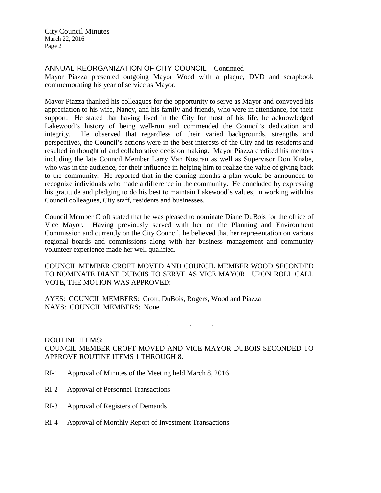City Council Minutes March 22, 2016 Page 2

# ANNUAL REORGANIZATION OF CITY COUNCIL – Continued

Mayor Piazza presented outgoing Mayor Wood with a plaque, DVD and scrapbook commemorating his year of service as Mayor.

Mayor Piazza thanked his colleagues for the opportunity to serve as Mayor and conveyed his appreciation to his wife, Nancy, and his family and friends, who were in attendance, for their support. He stated that having lived in the City for most of his life, he acknowledged Lakewood's history of being well-run and commended the Council's dedication and integrity. He observed that regardless of their varied backgrounds, strengths and perspectives, the Council's actions were in the best interests of the City and its residents and resulted in thoughtful and collaborative decision making. Mayor Piazza credited his mentors including the late Council Member Larry Van Nostran as well as Supervisor Don Knabe, who was in the audience, for their influence in helping him to realize the value of giving back to the community. He reported that in the coming months a plan would be announced to recognize individuals who made a difference in the community. He concluded by expressing his gratitude and pledging to do his best to maintain Lakewood's values, in working with his Council colleagues, City staff, residents and businesses.

Council Member Croft stated that he was pleased to nominate Diane DuBois for the office of Vice Mayor. Having previously served with her on the Planning and Environment Commission and currently on the City Council, he believed that her representation on various regional boards and commissions along with her business management and community volunteer experience made her well qualified.

COUNCIL MEMBER CROFT MOVED AND COUNCIL MEMBER WOOD SECONDED TO NOMINATE DIANE DUBOIS TO SERVE AS VICE MAYOR. UPON ROLL CALL VOTE, THE MOTION WAS APPROVED:

AYES: COUNCIL MEMBERS: Croft, DuBois, Rogers, Wood and Piazza NAYS: COUNCIL MEMBERS: None

. . .

ROUTINE ITEMS: COUNCIL MEMBER CROFT MOVED AND VICE MAYOR DUBOIS SECONDED TO APPROVE ROUTINE ITEMS 1 THROUGH 8.

- RI-1 Approval of Minutes of the Meeting held March 8, 2016
- RI-2 Approval of Personnel Transactions
- RI-3 Approval of Registers of Demands
- RI-4 Approval of Monthly Report of Investment Transactions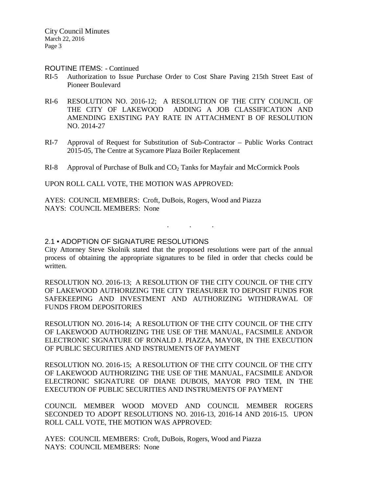City Council Minutes March 22, 2016 Page 3

#### ROUTINE ITEMS: - Continued

- RI-5 Authorization to Issue Purchase Order to Cost Share Paving 215th Street East of Pioneer Boulevard
- RI-6 RESOLUTION NO. 2016-12; A RESOLUTION OF THE CITY COUNCIL OF THE CITY OF LAKEWOOD ADDING A JOB CLASSIFICATION AND AMENDING EXISTING PAY RATE IN ATTACHMENT B OF RESOLUTION NO. 2014-27
- RI-7 Approval of Request for Substitution of Sub-Contractor Public Works Contract 2015-05, The Centre at Sycamore Plaza Boiler Replacement
- RI-8 Approval of Purchase of Bulk and CO<sub>2</sub> Tanks for Mayfair and McCormick Pools

UPON ROLL CALL VOTE, THE MOTION WAS APPROVED:

AYES: COUNCIL MEMBERS: Croft, DuBois, Rogers, Wood and Piazza NAYS: COUNCIL MEMBERS: None

#### 2.1 • ADOPTION OF SIGNATURE RESOLUTIONS

City Attorney Steve Skolnik stated that the proposed resolutions were part of the annual process of obtaining the appropriate signatures to be filed in order that checks could be written.

. . .

RESOLUTION NO. 2016-13; A RESOLUTION OF THE CITY COUNCIL OF THE CITY OF LAKEWOOD AUTHORIZING THE CITY TREASURER TO DEPOSIT FUNDS FOR SAFEKEEPING AND INVESTMENT AND AUTHORIZING WITHDRAWAL OF FUNDS FROM DEPOSITORIES

RESOLUTION NO. 2016-14; A RESOLUTION OF THE CITY COUNCIL OF THE CITY OF LAKEWOOD AUTHORIZING THE USE OF THE MANUAL, FACSIMILE AND/OR ELECTRONIC SIGNATURE OF RONALD J. PIAZZA, MAYOR, IN THE EXECUTION OF PUBLIC SECURITIES AND INSTRUMENTS OF PAYMENT

RESOLUTION NO. 2016-15; A RESOLUTION OF THE CITY COUNCIL OF THE CITY OF LAKEWOOD AUTHORIZING THE USE OF THE MANUAL, FACSIMILE AND/OR ELECTRONIC SIGNATURE OF DIANE DUBOIS, MAYOR PRO TEM, IN THE EXECUTION OF PUBLIC SECURITIES AND INSTRUMENTS OF PAYMENT

COUNCIL MEMBER WOOD MOVED AND COUNCIL MEMBER ROGERS SECONDED TO ADOPT RESOLUTIONS NO. 2016-13, 2016-14 AND 2016-15. UPON ROLL CALL VOTE, THE MOTION WAS APPROVED:

AYES: COUNCIL MEMBERS: Croft, DuBois, Rogers, Wood and Piazza NAYS: COUNCIL MEMBERS: None